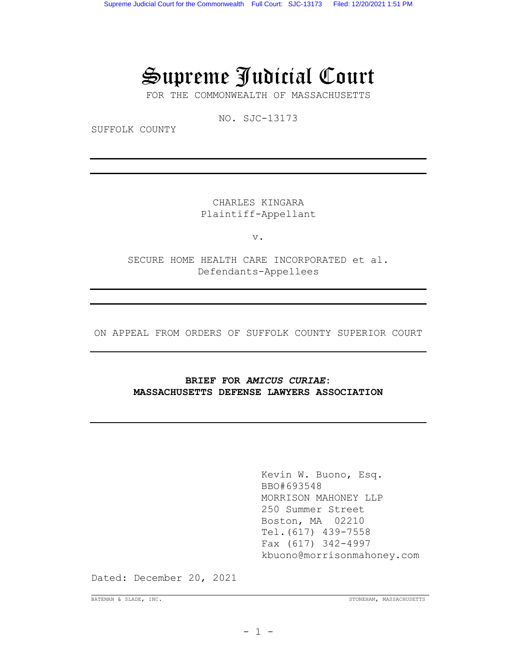# Supreme Judicial Court

FOR THE COMMONWEALTH OF MASSACHUSETTS

NO. SJC-13173

SUFFOLK COUNTY

CHARLES KINGARA Plaintiff-Appellant

v.

SECURE HOME HEALTH CARE INCORPORATED et al. Defendants-Appellees

ON APPEAL FROM ORDERS OF SUFFOLK COUNTY SUPERIOR COURT

# **BRIEF FOR** *AMICUS CURIAE***: MASSACHUSETTS DEFENSE LAWYERS ASSOCIATION**

Kevin W. Buono, Esq. BBO#693548 MORRISON MAHONEY LLP 250 Summer Street Boston, MA 02210 Tel.(617) 439-7558 Fax (617) 342-4997 kbuono@morrisonmahoney.com

Dated: December 20, 2021

BATEMAN & SLADE, INC. STONEHAM, MASSACHUSETTS

 $- 1 -$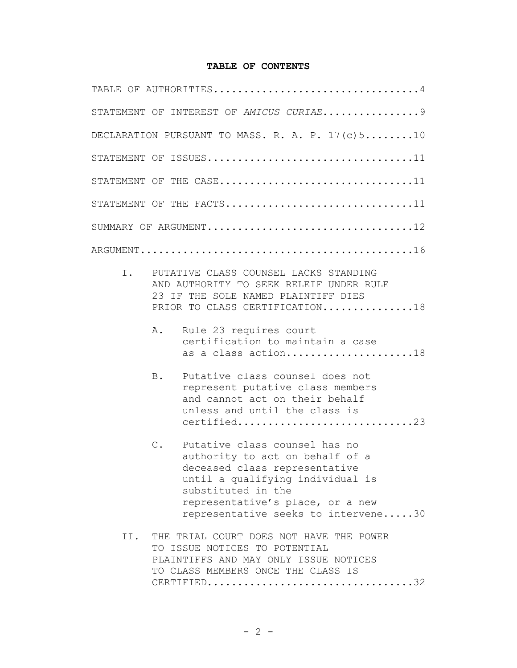# **TABLE OF CONTENTS**

|     | STATEMENT OF INTEREST OF AMICUS CURIAE9                                                                                                                                                                                                         |
|-----|-------------------------------------------------------------------------------------------------------------------------------------------------------------------------------------------------------------------------------------------------|
|     | DECLARATION PURSUANT TO MASS. R. A. P. $17(c)510$                                                                                                                                                                                               |
|     |                                                                                                                                                                                                                                                 |
|     | STATEMENT OF THE $CASE$ 11                                                                                                                                                                                                                      |
|     | STATEMENT OF THE FACTS11                                                                                                                                                                                                                        |
|     | SUMMARY OF ARGUMENT12                                                                                                                                                                                                                           |
|     |                                                                                                                                                                                                                                                 |
| Ι.  | PUTATIVE CLASS COUNSEL LACKS STANDING<br>AND AUTHORITY TO SEEK RELEIF UNDER RULE<br>23 IF THE SOLE NAMED PLAINTIFF DIES<br>PRIOR TO CLASS CERTIFICATION18                                                                                       |
|     | A.<br>Rule 23 requires court<br>certification to maintain a case<br>as a class action18                                                                                                                                                         |
|     | Putative class counsel does not<br>B.<br>represent putative class members<br>and cannot act on their behalf<br>unless and until the class is<br>certified23                                                                                     |
|     | Putative class counsel has no<br>$C$ .<br>authority to act on behalf of a<br>deceased class representative<br>until a qualifying individual is<br>substituted in the<br>representative's place, or a new<br>representative seeks to intervene30 |
| II. | THE TRIAL COURT DOES NOT HAVE THE POWER<br>TO ISSUE NOTICES TO POTENTIAL<br>PLAINTIFFS AND MAY ONLY ISSUE NOTICES<br>TO CLASS MEMBERS ONCE THE CLASS IS<br>$CERTIFIED.\dots.\dots.\dots.\dots.\dots.\dots.\dots.\dots.\ 32$                     |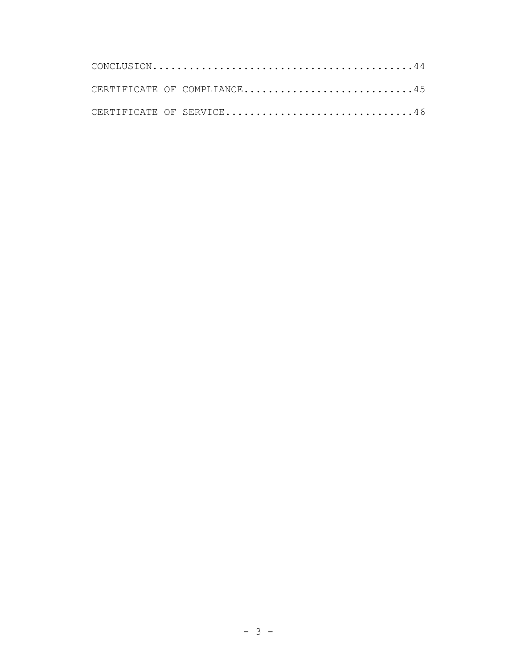|  | CERTIFICATE OF COMPLIANCE45 |
|--|-----------------------------|
|  | CERTIFICATE OF SERVICE46    |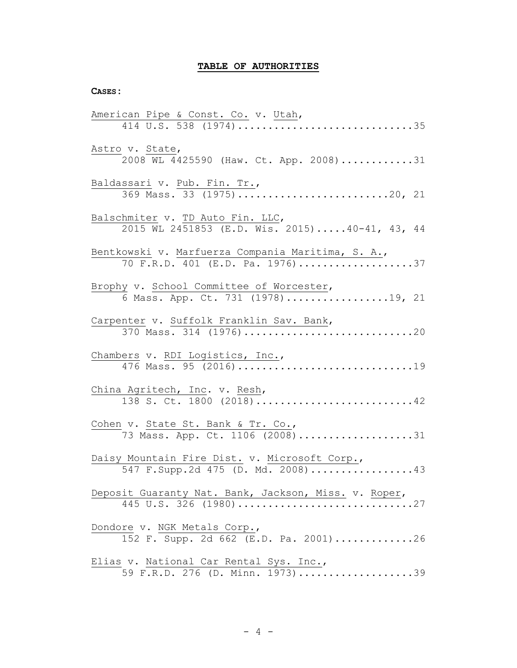# **TABLE OF AUTHORITIES**

#### **CASES:**

| American Pipe & Const. Co. v. Utah,<br>414 U.S. 538 $(1974)$ 35                       |
|---------------------------------------------------------------------------------------|
| Astro v. State,<br>2008 WL 4425590 (Haw. Ct. App. 2008)31                             |
| Baldassari v. Pub. Fin. Tr.,                                                          |
| Balschmiter v. TD Auto Fin. LLC,<br>2015 WL 2451853 (E.D. Wis. 2015)40-41, 43, 44     |
| Bentkowski v. Marfuerza Compania Maritima, S. A.,<br>70 F.R.D. 401 (E.D. Pa. 1976) 37 |
| Brophy v. School Committee of Worcester,<br>6 Mass. App. Ct. 731 (1978)19, 21         |
| Carpenter v. Suffolk Franklin Sav. Bank,<br>370 Mass. 314 (1976) 20                   |
| Chambers v. RDI Logistics, Inc.,<br>476 Mass. 95 (2016) 19                            |
| China Agritech, Inc. v. Resh,<br>138 S. Ct. 1800 (2018)42                             |
| Cohen v. State St. Bank & Tr. Co.,<br>73 Mass. App. Ct. 1106 (2008)31                 |
| Daisy Mountain Fire Dist. v. Microsoft Corp.,<br>547 F. Supp. 2d 475 (D. Md. 2008) 43 |
| Deposit Guaranty Nat. Bank, Jackson, Miss. v. Roper,<br>445 U.S. 326 (1980)27         |
| Dondore v. NGK Metals Corp.,<br>$152$ F. Supp. 2d 662 (E.D. Pa. 2001)26               |
| Elias v. National Car Rental Sys. Inc.,<br>59 F.R.D. 276 (D. Minn. 1973)39            |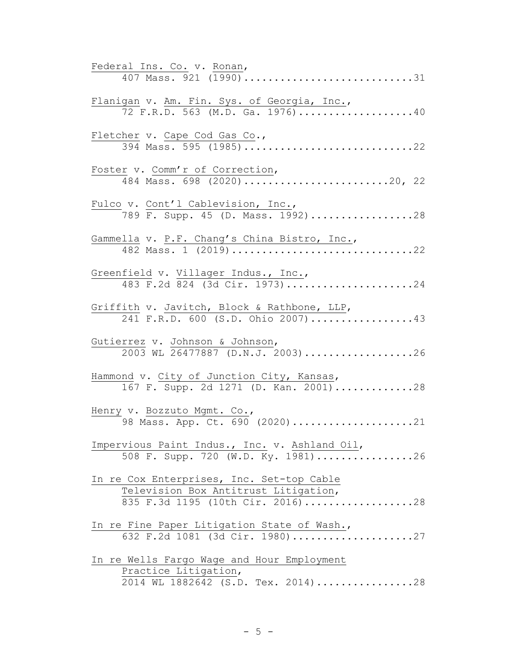| Federal Ins. Co. v. Ronan,                                                                                            |
|-----------------------------------------------------------------------------------------------------------------------|
| 407 Mass. 921 (1990)31                                                                                                |
| Flanigan v. Am. Fin. Sys. of Georgia, Inc.,<br>72 F.R.D. 563 (M.D. Ga. 1976)40                                        |
| Fletcher v. Cape Cod Gas Co.,<br>394 Mass. 595 (1985)22                                                               |
| Foster v. Comm'r of Correction,<br>484 Mass. 698 (2020)20, 22                                                         |
| Fulco v. Cont'l Cablevision, Inc.,<br>789 F. Supp. 45 (D. Mass. 1992)28                                               |
| Gammella v. P.F. Chang's China Bistro, Inc.,<br>482 Mass. 1 (2019) 22                                                 |
| Greenfield v. Villager Indus., Inc.,<br>483 F.2d 824 (3d Cir. 1973)24                                                 |
| Griffith v. Javitch, Block & Rathbone, LLP,<br>241 F.R.D. 600 (S.D. Ohio 2007)43                                      |
| Gutierrez v. Johnson & Johnson,<br>2003 WL 26477887 (D.N.J. 2003)26                                                   |
| Hammond v. City of Junction City, Kansas,<br>167 F. Supp. 2d 1271 (D. Kan. 2001)28                                    |
| Henry v. Bozzuto Mgmt. Co.,<br>98 Mass. App. Ct. 690 (2020)21                                                         |
| Impervious Paint Indus., Inc. v. Ashland Oil,<br>508 F. Supp. 720 (W.D. Ky. 1981)26                                   |
| In re Cox Enterprises, Inc. Set-top Cable<br>Television Box Antitrust Litigation,<br>835 F.3d 1195 (10th Cir. 2016)28 |
| In re Fine Paper Litigation State of Wash.,<br>632 F.2d 1081 (3d Cir. 1980)27                                         |
| In re Wells Fargo Wage and Hour Employment<br>Practice Litigation,<br>2014 WL 1882642 (S.D. Tex. 2014)28              |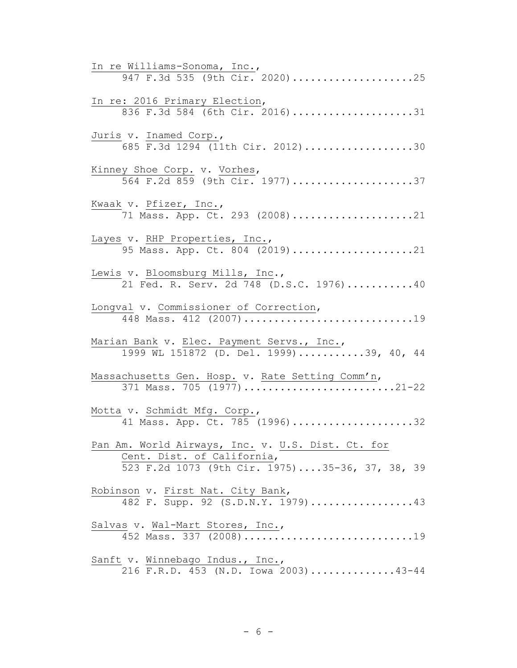| In re Williams-Sonoma, Inc.,<br>947 F.3d 535 (9th Cir. 2020)25                                                                    |
|-----------------------------------------------------------------------------------------------------------------------------------|
| In re: 2016 Primary Election,<br>836 F.3d 584 (6th Cir. 2016)31                                                                   |
| Juris v. Inamed Corp.,<br>685 $\overline{F.3d}$ 1294 (11th Cir. 2012)30                                                           |
| Kinney Shoe Corp. v. Vorhes,<br>564 F.2d 859 (9th Cir. 1977)37                                                                    |
| Kwaak v. Pfizer, Inc.,<br>71 Mass. App. Ct. 293 (2008)21                                                                          |
| Layes v. RHP Properties, Inc.,<br>95 Mass. App. Ct. 804 (2019)21                                                                  |
| Lewis v. Bloomsburg Mills, Inc.,<br>21 Fed. R. Serv. 2d 748 (D.S.C. 1976)40                                                       |
| Longval v. Commissioner of Correction,<br>448 Mass. 412 (2007)19                                                                  |
| Marian Bank v. Elec. Payment Servs., Inc.,<br>1999 WL 151872 (D. Del. 1999)39, 40, 44                                             |
| Massachusetts Gen. Hosp. v. Rate Setting Comm'n,                                                                                  |
| Motta v. Schmidt Mfg. Corp.,<br>41 Mass. App. Ct. 785 (1996)32                                                                    |
| Pan Am. World Airways, Inc. v. U.S. Dist. Ct. for<br>Cent. Dist. of California,<br>523 F.2d 1073 (9th Cir. 1975)35-36, 37, 38, 39 |
| Robinson v. First Nat. City Bank,<br>482 F. Supp. 92 $(S.D.N.Y. 1979)$ 43                                                         |
| Salvas v. Wal-Mart Stores, Inc.,<br>452 Mass. 337 (2008)19                                                                        |
| Sanft v. Winnebago Indus., Inc.,<br>216 F.R.D. 453 (N.D. Iowa 2003)43-44                                                          |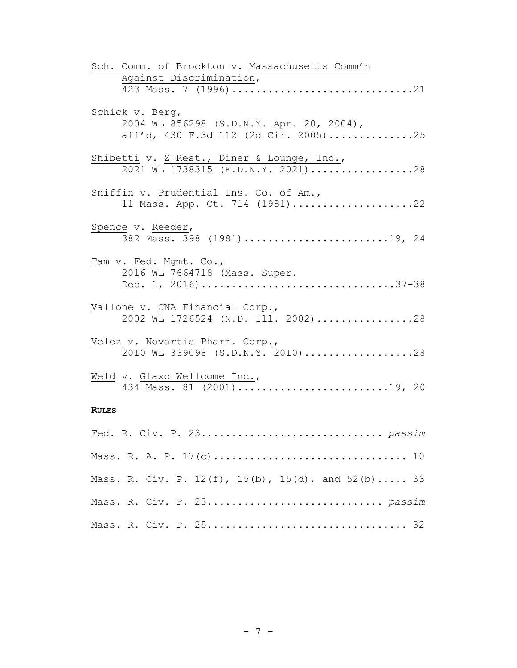| Sch. Comm. of Brockton v. Massachusetts Comm'n                                   |
|----------------------------------------------------------------------------------|
| Against Discrimination,<br>423 Mass. 7 (1996) 21                                 |
|                                                                                  |
| Schick v. Berg,                                                                  |
| 2004 WL 856298 (S.D.N.Y. Apr. 20, 2004),<br>aff'd, 430 F.3d 112 (2d Cir. 2005)25 |
|                                                                                  |
| Shibetti v. Z Rest., Diner & Lounge, Inc.,                                       |
| 2021 WL 1738315 (E.D.N.Y. 2021)28                                                |
| Sniffin v. Prudential Ins. Co. of Am.,                                           |
| 11 Mass. App. Ct. 714 (1981)22                                                   |
| Spence v. Reeder,                                                                |
| 382 Mass. 398 (1981) 19, 24                                                      |
| Tam v. Fed. Mgmt. Co.,                                                           |
| 2016 WL 7664718 (Mass. Super.                                                    |
| Dec. 1, 2016)37-38                                                               |
| Vallone v. CNA Financial Corp.,                                                  |
| 2002 WL 1726524 (N.D. Ill. 2002)28                                               |
|                                                                                  |
| Velez v. Novartis Pharm. Corp.,<br>2010 WL 339098 (S.D.N.Y. 2010)28              |
|                                                                                  |
| Weld v. Glaxo Wellcome Inc.,                                                     |
|                                                                                  |
| <b>RULES</b>                                                                     |
|                                                                                  |
|                                                                                  |
| Mass. R. A. P. 17(c) 10                                                          |
| Mass. R. Civ. P. 12(f), 15(b), 15(d), and 52(b) 33                               |
|                                                                                  |

|  |  | Mass. R. A. P. 17(c) 10                                       |  |  |  |
|--|--|---------------------------------------------------------------|--|--|--|
|  |  | Mass. R. Civ. P. $12(f)$ , $15(b)$ , $15(d)$ , and $52(b)$ 33 |  |  |  |
|  |  |                                                               |  |  |  |
|  |  |                                                               |  |  |  |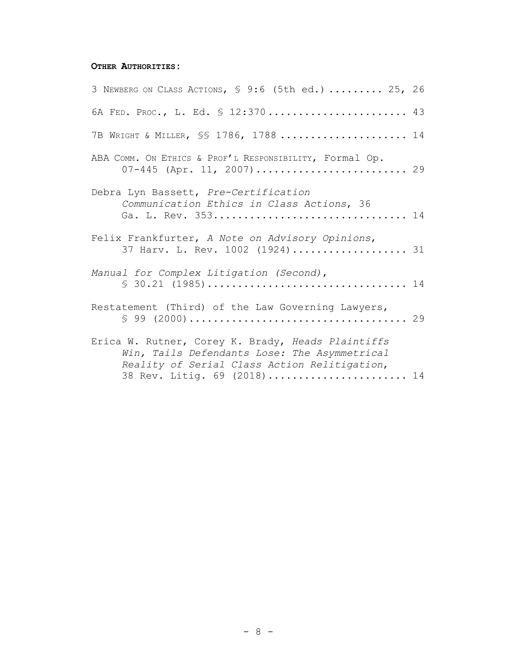# **OTHER AUTHORITIES:**

| 3 NEWBERG ON CLASS ACTIONS, § 9:6 (5th ed.)  25, 26                                                                                                                              |  |
|----------------------------------------------------------------------------------------------------------------------------------------------------------------------------------|--|
| 6A FED. PROC., L. Ed. § 12:370 43                                                                                                                                                |  |
| 7B WRIGHT & MILLER, SS 1786, 1788  14                                                                                                                                            |  |
| ABA COMM. ON ETHICS & PROF'L RESPONSIBILITY, FOrmal Op.                                                                                                                          |  |
| Debra Lyn Bassett, Pre-Certification<br>Communication Ethics in Class Actions, 36<br>Ga. L. Rev. 353 14                                                                          |  |
| Felix Frankfurter, A Note on Advisory Opinions,<br>37 Harv. L. Rev. 1002 (1924) 31                                                                                               |  |
| Manual for Complex Litigation (Second),                                                                                                                                          |  |
| Restatement (Third) of the Law Governing Lawyers,                                                                                                                                |  |
| Erica W. Rutner, Corey K. Brady, Heads Plaintiffs<br>Win, Tails Defendants Lose: The Asymmetrical<br>Reality of Serial Class Action Relitigation,<br>38 Rev. Litig. 69 (2018) 14 |  |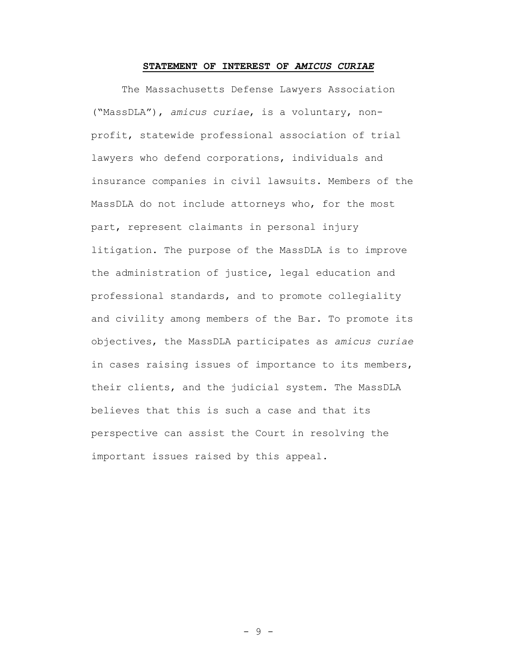#### **STATEMENT OF INTEREST OF** *AMICUS CURIAE*

The Massachusetts Defense Lawyers Association ("MassDLA"), *amicus curiae*, is a voluntary, nonprofit, statewide professional association of trial lawyers who defend corporations, individuals and insurance companies in civil lawsuits. Members of the MassDLA do not include attorneys who, for the most part, represent claimants in personal injury litigation. The purpose of the MassDLA is to improve the administration of justice, legal education and professional standards, and to promote collegiality and civility among members of the Bar. To promote its objectives, the MassDLA participates as *amicus curiae* in cases raising issues of importance to its members, their clients, and the judicial system. The MassDLA believes that this is such a case and that its perspective can assist the Court in resolving the important issues raised by this appeal.

- 9 -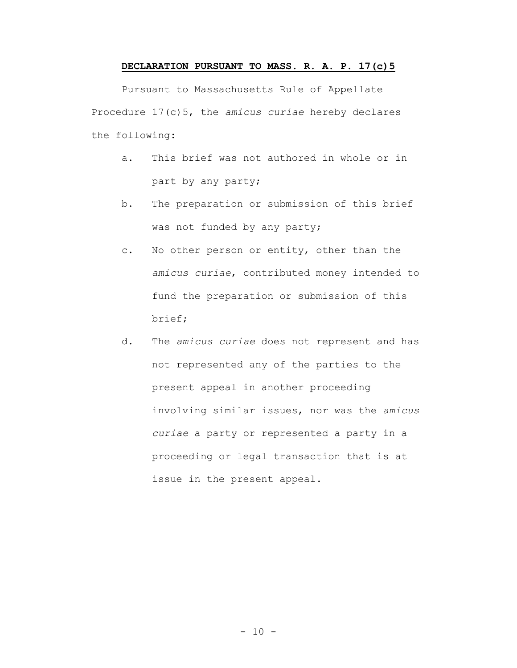# **DECLARATION PURSUANT TO MASS. R. A. P. 17(c)5**

Pursuant to Massachusetts Rule of Appellate Procedure 17(c)5, the *amicus curiae* hereby declares the following:

- a. This brief was not authored in whole or in part by any party;
- b. The preparation or submission of this brief was not funded by any party;
- c. No other person or entity, other than the *amicus curiae*, contributed money intended to fund the preparation or submission of this brief;
- d. The *amicus curiae* does not represent and has not represented any of the parties to the present appeal in another proceeding involving similar issues, nor was the *amicus curiae* a party or represented a party in a proceeding or legal transaction that is at issue in the present appeal.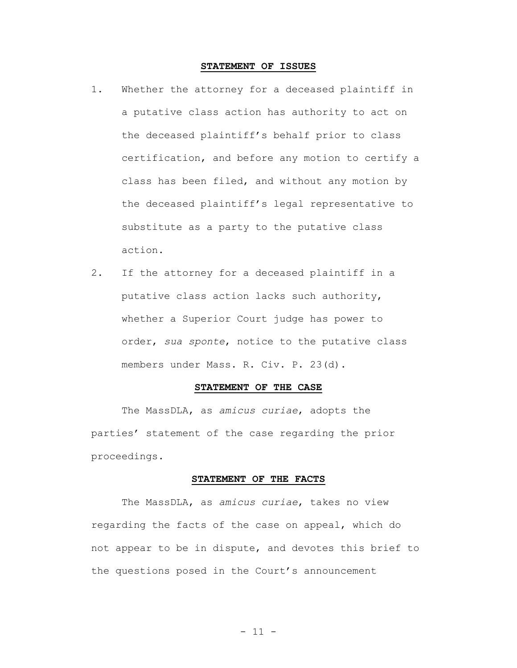#### **STATEMENT OF ISSUES**

- 1. Whether the attorney for a deceased plaintiff in a putative class action has authority to act on the deceased plaintiff's behalf prior to class certification, and before any motion to certify a class has been filed, and without any motion by the deceased plaintiff's legal representative to substitute as a party to the putative class action.
- 2. If the attorney for a deceased plaintiff in a putative class action lacks such authority, whether a Superior Court judge has power to order, *sua sponte*, notice to the putative class members under Mass. R. Civ. P. 23(d).

#### **STATEMENT OF THE CASE**

The MassDLA, as *amicus curiae*, adopts the parties' statement of the case regarding the prior proceedings.

#### **STATEMENT OF THE FACTS**

The MassDLA, as *amicus curiae*, takes no view regarding the facts of the case on appeal, which do not appear to be in dispute, and devotes this brief to the questions posed in the Court's announcement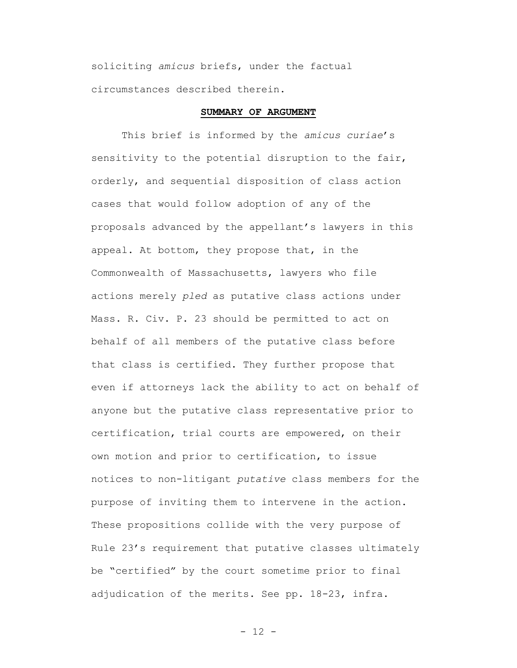soliciting *amicus* briefs, under the factual circumstances described therein.

### **SUMMARY OF ARGUMENT**

This brief is informed by the *amicus curiae*'s sensitivity to the potential disruption to the fair, orderly, and sequential disposition of class action cases that would follow adoption of any of the proposals advanced by the appellant's lawyers in this appeal. At bottom, they propose that, in the Commonwealth of Massachusetts, lawyers who file actions merely *pled* as putative class actions under Mass. R. Civ. P. 23 should be permitted to act on behalf of all members of the putative class before that class is certified. They further propose that even if attorneys lack the ability to act on behalf of anyone but the putative class representative prior to certification, trial courts are empowered, on their own motion and prior to certification, to issue notices to non-litigant *putative* class members for the purpose of inviting them to intervene in the action. These propositions collide with the very purpose of Rule 23's requirement that putative classes ultimately be "certified" by the court sometime prior to final adjudication of the merits. See pp. 18-23, infra.

 $- 12 -$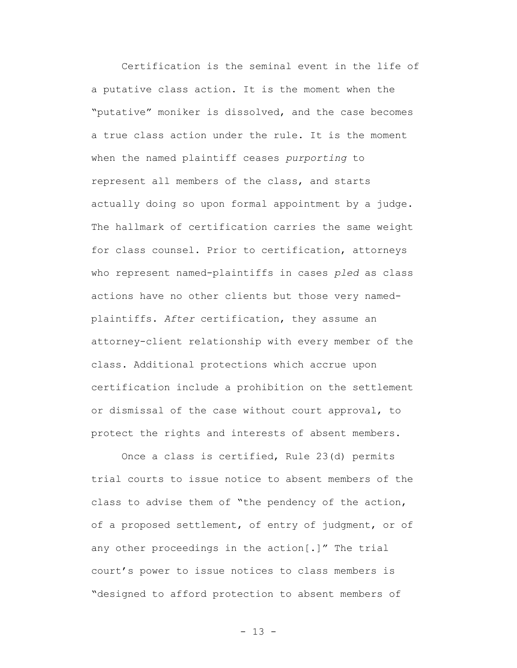Certification is the seminal event in the life of a putative class action. It is the moment when the "putative" moniker is dissolved, and the case becomes a true class action under the rule. It is the moment when the named plaintiff ceases *purporting* to represent all members of the class, and starts actually doing so upon formal appointment by a judge. The hallmark of certification carries the same weight for class counsel. Prior to certification, attorneys who represent named-plaintiffs in cases *pled* as class actions have no other clients but those very namedplaintiffs. *After* certification, they assume an attorney-client relationship with every member of the class. Additional protections which accrue upon certification include a prohibition on the settlement or dismissal of the case without court approval, to protect the rights and interests of absent members.

Once a class is certified, Rule 23(d) permits trial courts to issue notice to absent members of the class to advise them of "the pendency of the action, of a proposed settlement, of entry of judgment, or of any other proceedings in the action[.]" The trial court's power to issue notices to class members is "designed to afford protection to absent members of

- 13 -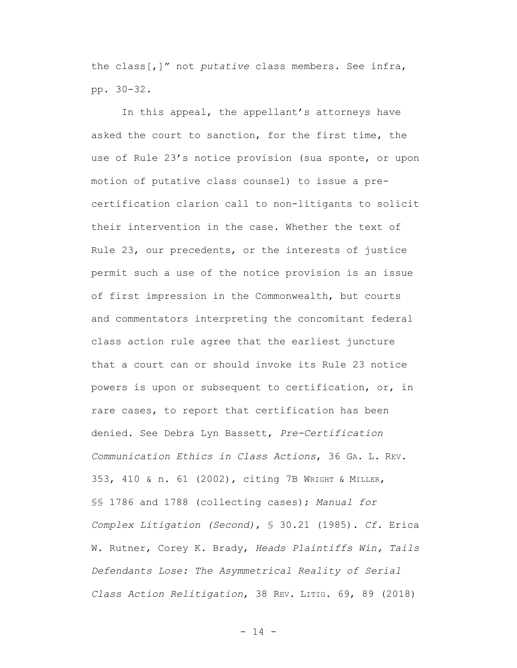the class[,]" not *putative* class members. See infra, pp. 30-32.

In this appeal, the appellant's attorneys have asked the court to sanction, for the first time, the use of Rule 23's notice provision (sua sponte, or upon motion of putative class counsel) to issue a precertification clarion call to non-litigants to solicit their intervention in the case. Whether the text of Rule 23, our precedents, or the interests of justice permit such a use of the notice provision is an issue of first impression in the Commonwealth, but courts and commentators interpreting the concomitant federal class action rule agree that the earliest juncture that a court can or should invoke its Rule 23 notice powers is upon or subsequent to certification, or, in rare cases, to report that certification has been denied. See Debra Lyn Bassett, *Pre-Certification Communication Ethics in Class Actions*, 36 GA. L. REV. 353, 410 & n. 61 (2002), citing 7B WRIGHT & MILLER, §§ 1786 and 1788 (collecting cases); *Manual for Complex Litigation (Second)*, § 30.21 (1985). *Cf*. Erica W. Rutner, Corey K. Brady, *Heads Plaintiffs Win, Tails Defendants Lose: The Asymmetrical Reality of Serial Class Action Relitigation*, 38 REV. LITIG. 69, 89 (2018)

- 14 -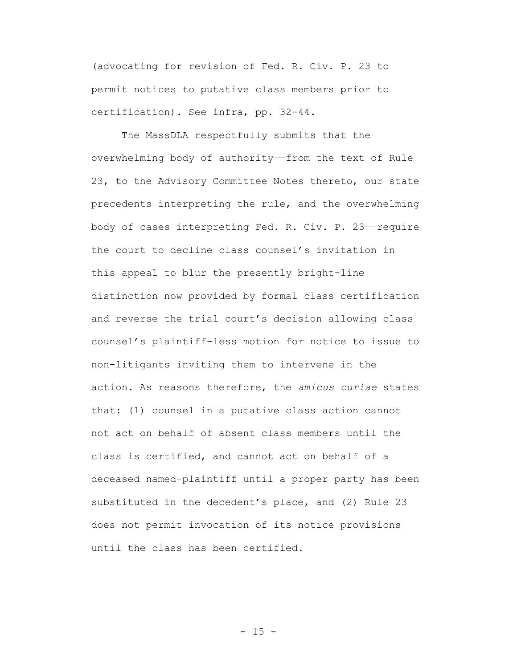(advocating for revision of Fed. R. Civ. P. 23 to permit notices to putative class members prior to certification). See infra, pp. 32-44.

The MassDLA respectfully submits that the overwhelming body of authority——from the text of Rule 23, to the Advisory Committee Notes thereto, our state precedents interpreting the rule, and the overwhelming body of cases interpreting Fed. R. Civ. P. 23——require the court to decline class counsel's invitation in this appeal to blur the presently bright-line distinction now provided by formal class certification and reverse the trial court's decision allowing class counsel's plaintiff-less motion for notice to issue to non-litigants inviting them to intervene in the action. As reasons therefore, the *amicus curiae* states that: (1) counsel in a putative class action cannot not act on behalf of absent class members until the class is certified, and cannot act on behalf of a deceased named-plaintiff until a proper party has been substituted in the decedent's place, and (2) Rule 23 does not permit invocation of its notice provisions until the class has been certified.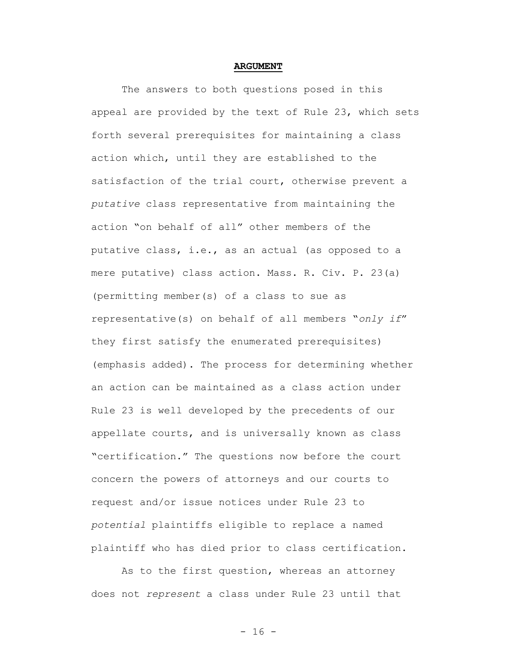#### **ARGUMENT**

The answers to both questions posed in this appeal are provided by the text of Rule 23, which sets forth several prerequisites for maintaining a class action which, until they are established to the satisfaction of the trial court, otherwise prevent a *putative* class representative from maintaining the action "on behalf of all" other members of the putative class, i.e., as an actual (as opposed to a mere putative) class action. Mass. R. Civ. P. 23(a) (permitting member(s) of a class to sue as representative(s) on behalf of all members "*only if*" they first satisfy the enumerated prerequisites) (emphasis added). The process for determining whether an action can be maintained as a class action under Rule 23 is well developed by the precedents of our appellate courts, and is universally known as class "certification." The questions now before the court concern the powers of attorneys and our courts to request and/or issue notices under Rule 23 to *potential* plaintiffs eligible to replace a named plaintiff who has died prior to class certification.

As to the first question, whereas an attorney does not *represent* a class under Rule 23 until that

- 16 -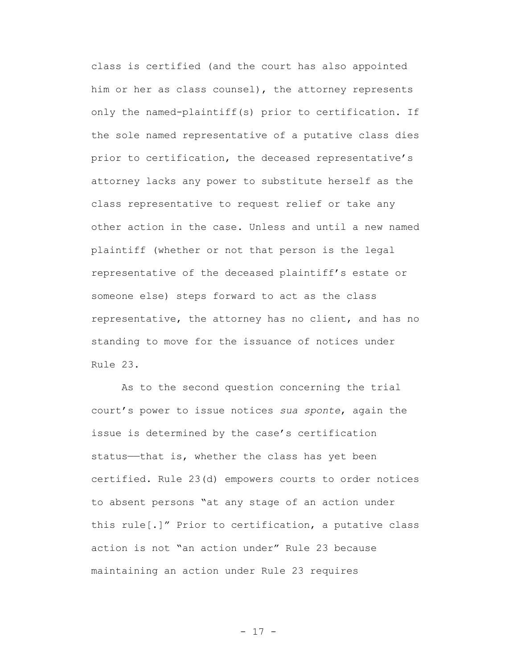class is certified (and the court has also appointed him or her as class counsel), the attorney represents only the named-plaintiff(s) prior to certification. If the sole named representative of a putative class dies prior to certification, the deceased representative's attorney lacks any power to substitute herself as the class representative to request relief or take any other action in the case. Unless and until a new named plaintiff (whether or not that person is the legal representative of the deceased plaintiff's estate or someone else) steps forward to act as the class representative, the attorney has no client, and has no standing to move for the issuance of notices under Rule 23.

As to the second question concerning the trial court's power to issue notices *sua sponte*, again the issue is determined by the case's certification status—that is, whether the class has yet been certified. Rule 23(d) empowers courts to order notices to absent persons "at any stage of an action under this rule[.]" Prior to certification, a putative class action is not "an action under" Rule 23 because maintaining an action under Rule 23 requires

- 17 -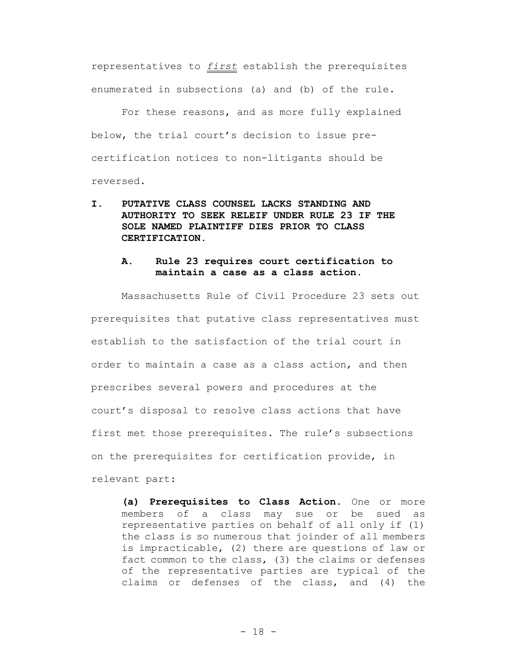representatives to *first* establish the prerequisites enumerated in subsections (a) and (b) of the rule.

For these reasons, and as more fully explained below, the trial court's decision to issue precertification notices to non-litigants should be reversed.

**I. PUTATIVE CLASS COUNSEL LACKS STANDING AND AUTHORITY TO SEEK RELEIF UNDER RULE 23 IF THE SOLE NAMED PLAINTIFF DIES PRIOR TO CLASS CERTIFICATION.**

# **A. Rule 23 requires court certification to maintain a case as a class action.**

Massachusetts Rule of Civil Procedure 23 sets out prerequisites that putative class representatives must establish to the satisfaction of the trial court in order to maintain a case as a class action, and then prescribes several powers and procedures at the court's disposal to resolve class actions that have first met those prerequisites. The rule's subsections on the prerequisites for certification provide, in relevant part:

**(a) Prerequisites to Class Action.** One or more members of a class may sue or be sued as representative parties on behalf of all only if (1) the class is so numerous that joinder of all members is impracticable, (2) there are questions of law or fact common to the class, (3) the claims or defenses of the representative parties are typical of the claims or defenses of the class, and (4) the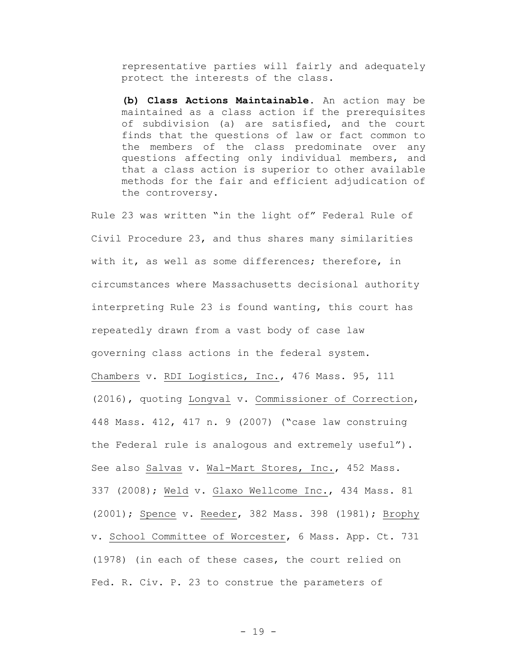representative parties will fairly and adequately protect the interests of the class.

**(b) Class Actions Maintainable.** An action may be maintained as a class action if the prerequisites of subdivision (a) are satisfied, and the court finds that the questions of law or fact common to the members of the class predominate over any questions affecting only individual members, and that a class action is superior to other available methods for the fair and efficient adjudication of the controversy.

Rule 23 was written "in the light of" Federal Rule of Civil Procedure 23, and thus shares many similarities with it, as well as some differences; therefore, in circumstances where Massachusetts decisional authority interpreting Rule 23 is found wanting, this court has repeatedly drawn from a vast body of case law governing class actions in the federal system. Chambers v. RDI Logistics, Inc., 476 Mass. 95, 111 (2016), quoting Longval v. Commissioner of Correction, 448 Mass. 412, 417 n. 9 (2007) ("case law construing the Federal rule is analogous and extremely useful"). See also Salvas v. Wal-Mart Stores, Inc., 452 Mass. 337 (2008); Weld v. Glaxo Wellcome Inc., 434 Mass. 81 (2001); Spence v. Reeder, 382 Mass. 398 (1981); Brophy v. School Committee of Worcester, 6 Mass. App. Ct. 731 (1978) (in each of these cases, the court relied on Fed. R. Civ. P. 23 to construe the parameters of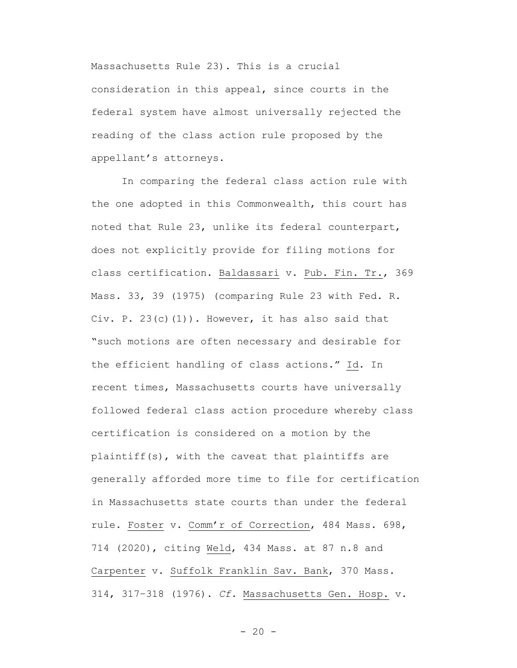Massachusetts Rule 23). This is a crucial consideration in this appeal, since courts in the federal system have almost universally rejected the reading of the class action rule proposed by the appellant's attorneys.

In comparing the federal class action rule with the one adopted in this Commonwealth, this court has noted that Rule 23, unlike its federal counterpart, does not explicitly provide for filing motions for class certification. Baldassari v. Pub. Fin. Tr., 369 Mass. 33, 39 (1975) (comparing Rule 23 with Fed. R. Civ. P.  $23(c)(1)$ ). However, it has also said that "such motions are often necessary and desirable for the efficient handling of class actions." Id. In recent times, Massachusetts courts have universally followed federal class action procedure whereby class certification is considered on a motion by the plaintiff(s), with the caveat that plaintiffs are generally afforded more time to file for certification in Massachusetts state courts than under the federal rule. Foster v. Comm'r of Correction, 484 Mass. 698, 714 (2020), citing Weld, 434 Mass. at 87 n.8 and Carpenter v. Suffolk Franklin Sav. Bank, 370 Mass. 314, 317–318 (1976). *Cf.* Massachusetts Gen. Hosp. v.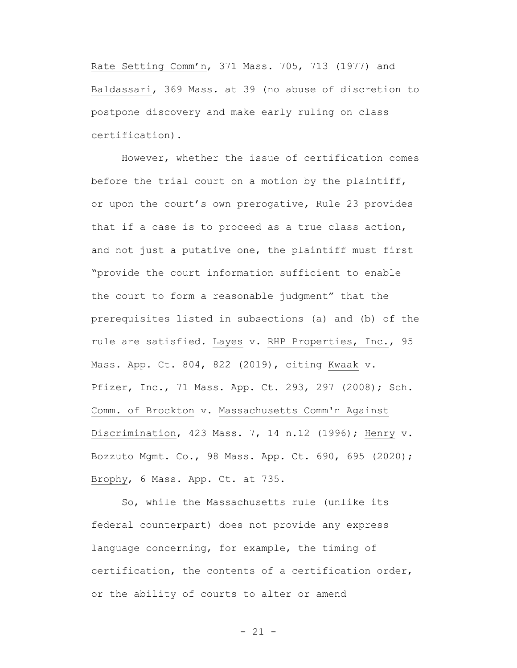Rate Setting Comm'n, 371 Mass. 705, 713 (1977) and Baldassari, 369 Mass. at 39 (no abuse of discretion to postpone discovery and make early ruling on class certification).

However, whether the issue of certification comes before the trial court on a motion by the plaintiff, or upon the court's own prerogative, Rule 23 provides that if a case is to proceed as a true class action, and not just a putative one, the plaintiff must first "provide the court information sufficient to enable the court to form a reasonable judgment" that the prerequisites listed in subsections (a) and (b) of the rule are satisfied. Layes v. RHP Properties, Inc., 95 Mass. App. Ct. 804, 822 (2019), citing Kwaak v. Pfizer, Inc., 71 Mass. App. Ct. 293, 297 (2008); Sch. Comm. of Brockton v. Massachusetts Comm'n Against Discrimination, 423 Mass. 7, 14 n.12 (1996); Henry v. Bozzuto Mgmt. Co., 98 Mass. App. Ct. 690, 695 (2020); Brophy, 6 Mass. App. Ct. at 735.

So, while the Massachusetts rule (unlike its federal counterpart) does not provide any express language concerning, for example, the timing of certification, the contents of a certification order, or the ability of courts to alter or amend

 $- 21 -$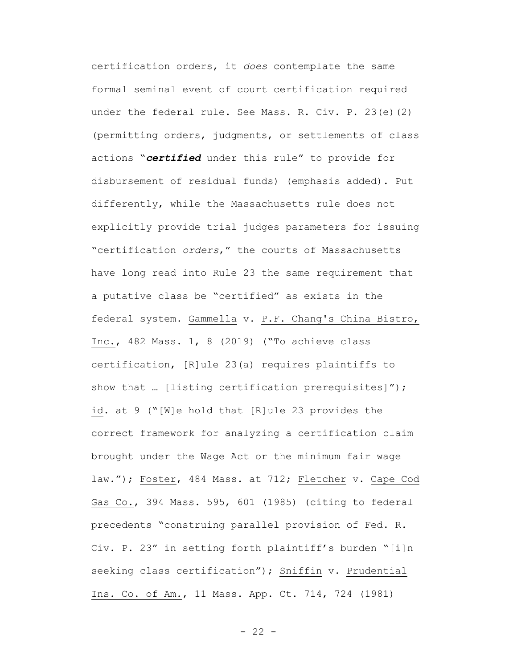certification orders, it *does* contemplate the same formal seminal event of court certification required under the federal rule. See Mass. R. Civ. P. 23(e)(2) (permitting orders, judgments, or settlements of class actions "*certified* under this rule" to provide for disbursement of residual funds) (emphasis added). Put differently, while the Massachusetts rule does not explicitly provide trial judges parameters for issuing "certification *orders*," the courts of Massachusetts have long read into Rule 23 the same requirement that a putative class be "certified" as exists in the federal system. Gammella v. P.F. Chang's China Bistro, Inc., 482 Mass. 1, 8 (2019) ("To achieve class certification, [R]ule 23(a) requires plaintiffs to show that ... [listing certification prerequisites]"); id. at 9 ("[W]e hold that [R]ule 23 provides the correct framework for analyzing a certification claim brought under the Wage Act or the minimum fair wage law."); Foster, 484 Mass. at 712; Fletcher v. Cape Cod Gas Co., 394 Mass. 595, 601 (1985) (citing to federal precedents "construing parallel provision of Fed. R. Civ. P. 23" in setting forth plaintiff's burden "[i]n seeking class certification"); Sniffin v. Prudential Ins. Co. of Am., 11 Mass. App. Ct. 714, 724 (1981)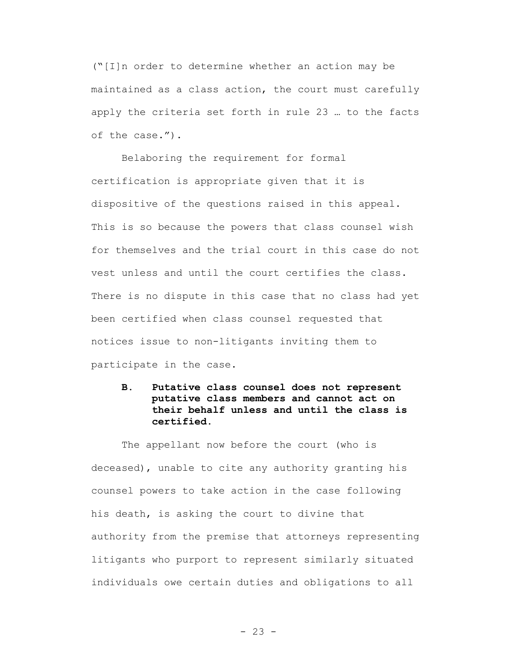("[I]n order to determine whether an action may be maintained as a class action, the court must carefully apply the criteria set forth in rule 23 … to the facts of the case.").

Belaboring the requirement for formal certification is appropriate given that it is dispositive of the questions raised in this appeal. This is so because the powers that class counsel wish for themselves and the trial court in this case do not vest unless and until the court certifies the class. There is no dispute in this case that no class had yet been certified when class counsel requested that notices issue to non-litigants inviting them to participate in the case.

**B. Putative class counsel does not represent putative class members and cannot act on their behalf unless and until the class is certified.**

The appellant now before the court (who is deceased), unable to cite any authority granting his counsel powers to take action in the case following his death, is asking the court to divine that authority from the premise that attorneys representing litigants who purport to represent similarly situated individuals owe certain duties and obligations to all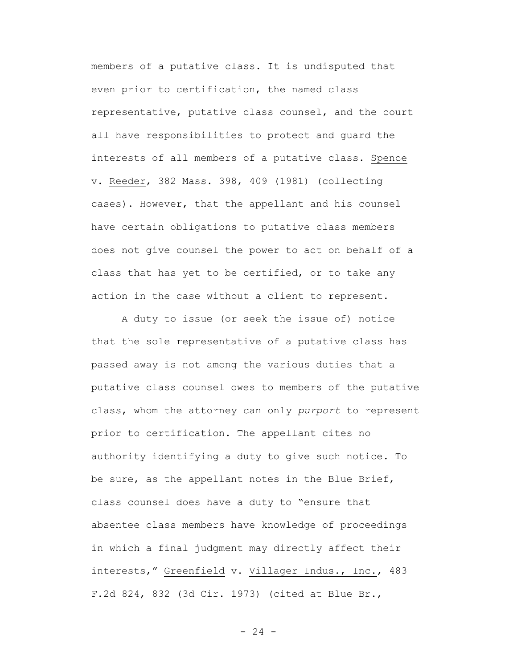members of a putative class. It is undisputed that even prior to certification, the named class representative, putative class counsel, and the court all have responsibilities to protect and guard the interests of all members of a putative class. Spence v. Reeder, 382 Mass. 398, 409 (1981) (collecting cases). However, that the appellant and his counsel have certain obligations to putative class members does not give counsel the power to act on behalf of a class that has yet to be certified, or to take any action in the case without a client to represent.

A duty to issue (or seek the issue of) notice that the sole representative of a putative class has passed away is not among the various duties that a putative class counsel owes to members of the putative class, whom the attorney can only *purport* to represent prior to certification. The appellant cites no authority identifying a duty to give such notice. To be sure, as the appellant notes in the Blue Brief, class counsel does have a duty to "ensure that absentee class members have knowledge of proceedings in which a final judgment may directly affect their interests," Greenfield v. Villager Indus., Inc., 483 F.2d 824, 832 (3d Cir. 1973) (cited at Blue Br.,

 $- 24 -$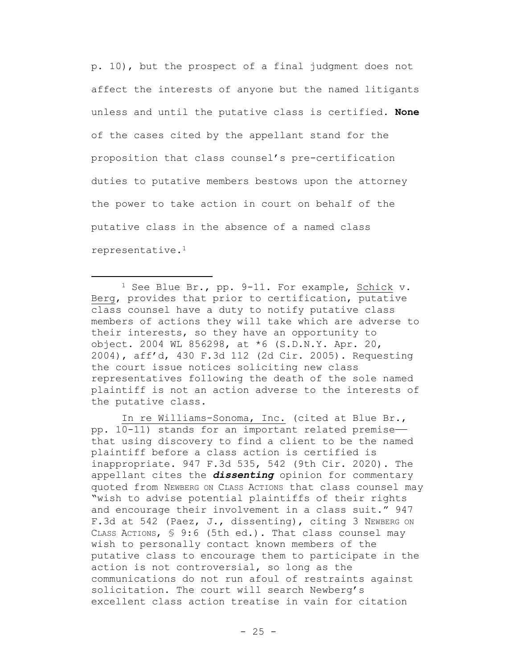p. 10), but the prospect of a final judgment does not affect the interests of anyone but the named litigants unless and until the putative class is certified. **None** of the cases cited by the appellant stand for the proposition that class counsel's pre-certification duties to putative members bestows upon the attorney the power to take action in court on behalf of the putative class in the absence of a named class representative.<sup>1</sup>

<sup>1</sup> See Blue Br., pp. 9-11. For example, Schick v. Berg, provides that prior to certification, putative class counsel have a duty to notify putative class members of actions they will take which are adverse to their interests, so they have an opportunity to object. 2004 WL 856298, at \*6 (S.D.N.Y. Apr. 20, 2004), aff'd, 430 F.3d 112 (2d Cir. 2005). Requesting the court issue notices soliciting new class representatives following the death of the sole named plaintiff is not an action adverse to the interests of the putative class.

 $\overline{a}$ 

In re Williams-Sonoma, Inc. (cited at Blue Br., pp. 10-11) stands for an important related premise— that using discovery to find a client to be the named plaintiff before a class action is certified is inappropriate. 947 F.3d 535, 542 (9th Cir. 2020). The appellant cites the *dissenting* opinion for commentary quoted from NEWBERG ON CLASS ACTIONS that class counsel may "wish to advise potential plaintiffs of their rights and encourage their involvement in a class suit." 947 F.3d at 542 (Paez, J., dissenting), citing 3 NEWBERG ON CLASS ACTIONS, § 9:6 (5th ed.). That class counsel may wish to personally contact known members of the putative class to encourage them to participate in the action is not controversial, so long as the communications do not run afoul of restraints against solicitation. The court will search Newberg's excellent class action treatise in vain for citation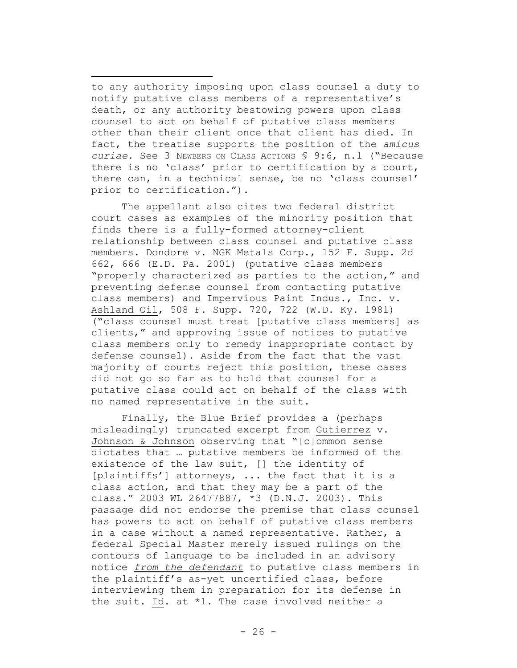to any authority imposing upon class counsel a duty to notify putative class members of a representative's death, or any authority bestowing powers upon class counsel to act on behalf of putative class members other than their client once that client has died. In fact, the treatise supports the position of the *amicus curiae*. See 3 NEWBERG ON CLASS ACTIONS § 9:6, n.1 ("Because there is no 'class' prior to certification by a court, there can, in a technical sense, be no 'class counsel' prior to certification.").

 $\overline{\phantom{a}}$ 

The appellant also cites two federal district court cases as examples of the minority position that finds there is a fully-formed attorney-client relationship between class counsel and putative class members. Dondore v. NGK Metals Corp., 152 F. Supp. 2d 662, 666 (E.D. Pa. 2001) (putative class members "properly characterized as parties to the action," and preventing defense counsel from contacting putative class members) and Impervious Paint Indus., Inc. v. Ashland Oil, 508 F. Supp. 720, 722 (W.D. Ky. 1981) ("class counsel must treat [putative class members] as clients," and approving issue of notices to putative class members only to remedy inappropriate contact by defense counsel). Aside from the fact that the vast majority of courts reject this position, these cases did not go so far as to hold that counsel for a putative class could act on behalf of the class with no named representative in the suit.

Finally, the Blue Brief provides a (perhaps misleadingly) truncated excerpt from Gutierrez v. Johnson & Johnson observing that "[c]ommon sense dictates that … putative members be informed of the existence of the law suit, [] the identity of [plaintiffs'] attorneys, ... the fact that it is a class action, and that they may be a part of the class." 2003 WL 26477887, \*3 (D.N.J. 2003). This passage did not endorse the premise that class counsel has powers to act on behalf of putative class members in a case without a named representative. Rather, a federal Special Master merely issued rulings on the contours of language to be included in an advisory notice *from the defendant* to putative class members in the plaintiff's as-yet uncertified class, before interviewing them in preparation for its defense in the suit. Id. at \*1. The case involved neither a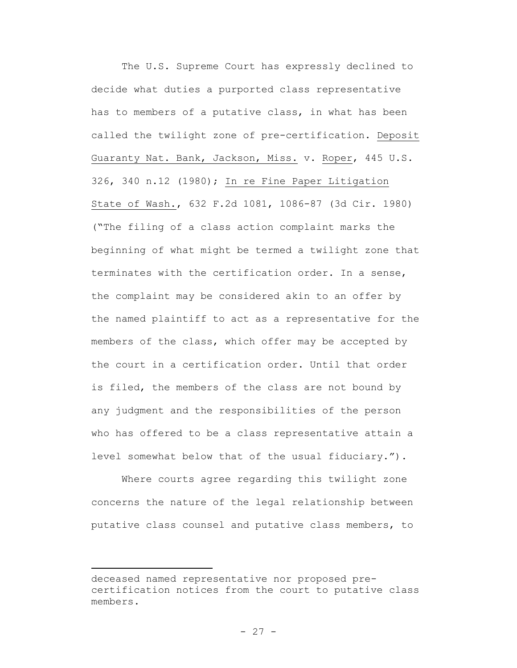The U.S. Supreme Court has expressly declined to decide what duties a purported class representative has to members of a putative class, in what has been called the twilight zone of pre-certification. Deposit Guaranty Nat. Bank, Jackson, Miss. v. Roper, 445 U.S. 326, 340 n.12 (1980); In re Fine Paper Litigation State of Wash., 632 F.2d 1081, 1086-87 (3d Cir. 1980) ("The filing of a class action complaint marks the beginning of what might be termed a twilight zone that terminates with the certification order. In a sense, the complaint may be considered akin to an offer by the named plaintiff to act as a representative for the members of the class, which offer may be accepted by the court in a certification order. Until that order is filed, the members of the class are not bound by any judgment and the responsibilities of the person who has offered to be a class representative attain a level somewhat below that of the usual fiduciary.").

Where courts agree regarding this twilight zone concerns the nature of the legal relationship between putative class counsel and putative class members, to

 $\overline{\phantom{a}}$ 

deceased named representative nor proposed precertification notices from the court to putative class members.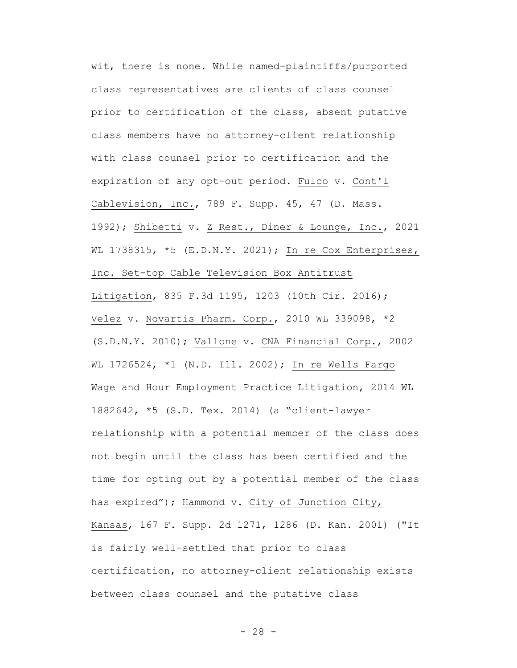wit, there is none. While named-plaintiffs/purported class representatives are clients of class counsel prior to certification of the class, absent putative class members have no attorney-client relationship with class counsel prior to certification and the expiration of any opt-out period. Fulco v. Cont'l Cablevision, Inc., 789 F. Supp. 45, 47 (D. Mass. 1992); Shibetti v. Z Rest., Diner & Lounge, Inc., 2021 WL 1738315, \*5 (E.D.N.Y. 2021); In re Cox Enterprises, Inc. Set-top Cable Television Box Antitrust Litigation, 835 F.3d 1195, 1203 (10th Cir. 2016); Velez v. Novartis Pharm. Corp., 2010 WL 339098, \*2 (S.D.N.Y. 2010); Vallone v. CNA Financial Corp., 2002 WL 1726524, \*1 (N.D. Ill. 2002); In re Wells Fargo Wage and Hour Employment Practice Litigation, 2014 WL 1882642, \*5 (S.D. Tex. 2014) (a "client-lawyer relationship with a potential member of the class does not begin until the class has been certified and the time for opting out by a potential member of the class has expired"); Hammond v. City of Junction City, Kansas, 167 F. Supp. 2d 1271, 1286 (D. Kan. 2001) ("It is fairly well-settled that prior to class certification, no attorney-client relationship exists between class counsel and the putative class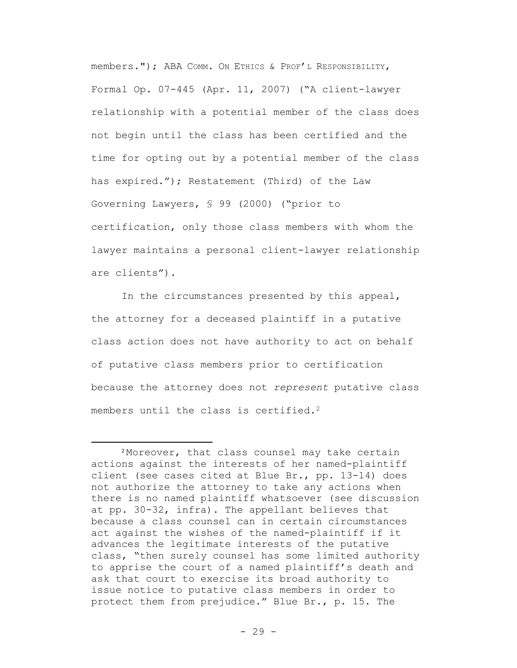members."); ABA COMM. ON ETHICS & PROF'L RESPONSIBILITY, Formal Op. 07-445 (Apr. 11, 2007) ("A client-lawyer relationship with a potential member of the class does not begin until the class has been certified and the time for opting out by a potential member of the class has expired."); Restatement (Third) of the Law Governing Lawyers, § 99 (2000) ("prior to certification, only those class members with whom the lawyer maintains a personal client-lawyer relationship are clients").

In the circumstances presented by this appeal, the attorney for a deceased plaintiff in a putative class action does not have authority to act on behalf of putative class members prior to certification because the attorney does not *represent* putative class members until the class is certified.<sup>2</sup>

 $\overline{\phantom{a}}$ 

<sup>2</sup> Moreover, that class counsel may take certain actions against the interests of her named-plaintiff client (see cases cited at Blue Br., pp. 13-14) does not authorize the attorney to take any actions when there is no named plaintiff whatsoever (see discussion at pp. 30-32, infra). The appellant believes that because a class counsel can in certain circumstances act against the wishes of the named-plaintiff if it advances the legitimate interests of the putative class, "then surely counsel has some limited authority to apprise the court of a named plaintiff's death and ask that court to exercise its broad authority to issue notice to putative class members in order to protect them from prejudice." Blue Br., p. 15. The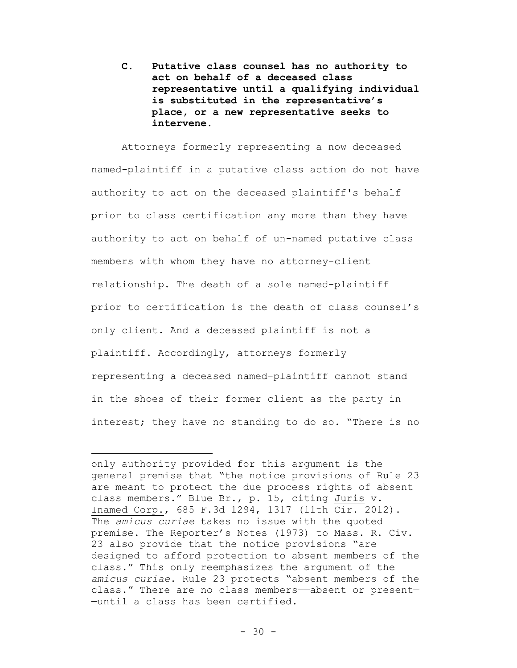**C. Putative class counsel has no authority to act on behalf of a deceased class representative until a qualifying individual is substituted in the representative's place, or a new representative seeks to intervene.**

Attorneys formerly representing a now deceased named-plaintiff in a putative class action do not have authority to act on the deceased plaintiff's behalf prior to class certification any more than they have authority to act on behalf of un-named putative class members with whom they have no attorney-client relationship. The death of a sole named-plaintiff prior to certification is the death of class counsel's only client. And a deceased plaintiff is not a plaintiff. Accordingly, attorneys formerly representing a deceased named-plaintiff cannot stand in the shoes of their former client as the party in interest; they have no standing to do so. "There is no

 $\overline{\phantom{a}}$ 

only authority provided for this argument is the general premise that "the notice provisions of Rule 23 are meant to protect the due process rights of absent class members." Blue Br., p. 15, citing Juris v. Inamed Corp., 685 F.3d 1294, 1317 (11th Cir. 2012). The *amicus curiae* takes no issue with the quoted premise. The Reporter's Notes (1973) to Mass. R. Civ. 23 also provide that the notice provisions "are designed to afford protection to absent members of the class." This only reemphasizes the argument of the *amicus curiae*. Rule 23 protects "absent members of the class." There are no class members——absent or present— —until a class has been certified.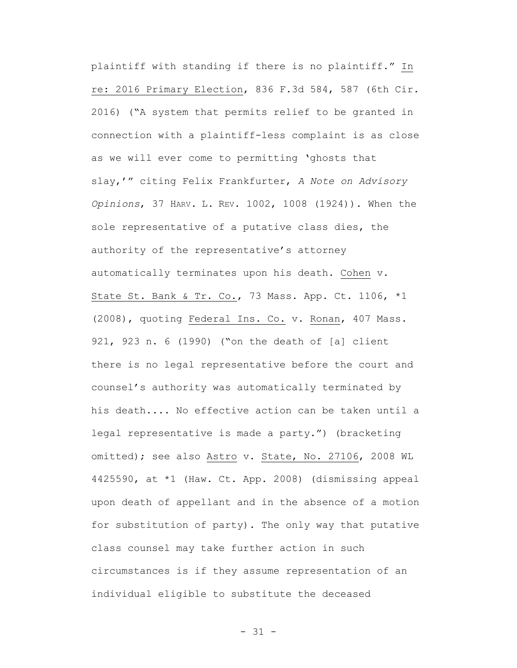plaintiff with standing if there is no plaintiff." In re: 2016 Primary Election, 836 F.3d 584, 587 (6th Cir. 2016) ("A system that permits relief to be granted in connection with a plaintiff-less complaint is as close as we will ever come to permitting 'ghosts that slay,'" citing Felix Frankfurter, *A Note on Advisory Opinions*, 37 HARV. L. REV. 1002, 1008 (1924)). When the sole representative of a putative class dies, the authority of the representative's attorney automatically terminates upon his death. Cohen v. State St. Bank & Tr. Co., 73 Mass. App. Ct. 1106, \*1 (2008), quoting Federal Ins. Co. v. Ronan, 407 Mass. 921, 923 n. 6 (1990) ("on the death of [a] client there is no legal representative before the court and counsel's authority was automatically terminated by his death.... No effective action can be taken until a legal representative is made a party.") (bracketing omitted); see also Astro v. State, No. 27106, 2008 WL 4425590, at \*1 (Haw. Ct. App. 2008) (dismissing appeal upon death of appellant and in the absence of a motion for substitution of party). The only way that putative class counsel may take further action in such circumstances is if they assume representation of an individual eligible to substitute the deceased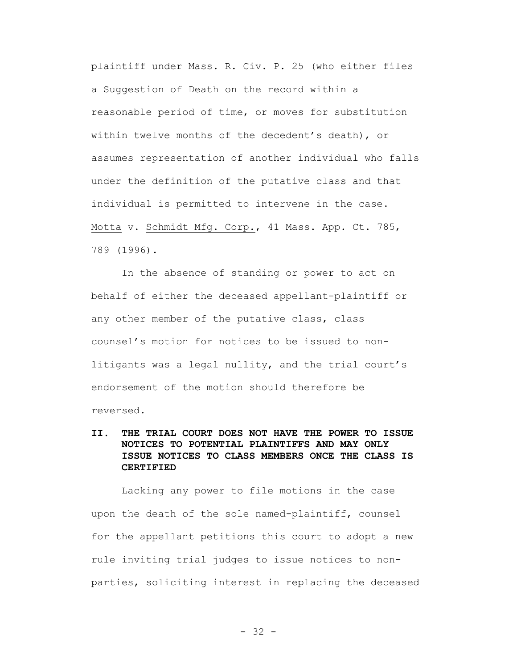plaintiff under Mass. R. Civ. P. 25 (who either files a Suggestion of Death on the record within a reasonable period of time, or moves for substitution within twelve months of the decedent's death), or assumes representation of another individual who falls under the definition of the putative class and that individual is permitted to intervene in the case. Motta v. Schmidt Mfg. Corp., 41 Mass. App. Ct. 785, 789 (1996).

In the absence of standing or power to act on behalf of either the deceased appellant-plaintiff or any other member of the putative class, class counsel's motion for notices to be issued to nonlitigants was a legal nullity, and the trial court's endorsement of the motion should therefore be reversed.

# **II. THE TRIAL COURT DOES NOT HAVE THE POWER TO ISSUE NOTICES TO POTENTIAL PLAINTIFFS AND MAY ONLY ISSUE NOTICES TO CLASS MEMBERS ONCE THE CLASS IS CERTIFIED**

Lacking any power to file motions in the case upon the death of the sole named-plaintiff, counsel for the appellant petitions this court to adopt a new rule inviting trial judges to issue notices to nonparties, soliciting interest in replacing the deceased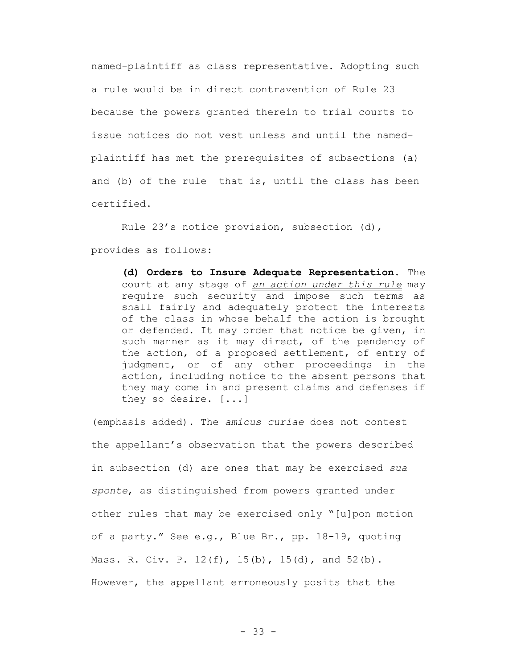named-plaintiff as class representative. Adopting such a rule would be in direct contravention of Rule 23 because the powers granted therein to trial courts to issue notices do not vest unless and until the namedplaintiff has met the prerequisites of subsections (a) and (b) of the rule—that is, until the class has been certified.

Rule 23's notice provision, subsection (d), provides as follows:

> **(d) Orders to Insure Adequate Representation.** The court at any stage of *an action under this rule* may require such security and impose such terms as shall fairly and adequately protect the interests of the class in whose behalf the action is brought or defended. It may order that notice be given, in such manner as it may direct, of the pendency of the action, of a proposed settlement, of entry of judgment, or of any other proceedings in the action, including notice to the absent persons that they may come in and present claims and defenses if they so desire. [...]

(emphasis added). The *amicus curiae* does not contest the appellant's observation that the powers described in subsection (d) are ones that may be exercised *sua sponte*, as distinguished from powers granted under other rules that may be exercised only "[u]pon motion of a party." See e.g., Blue Br., pp. 18-19, quoting Mass. R. Civ. P. 12(f), 15(b), 15(d), and 52(b). However, the appellant erroneously posits that the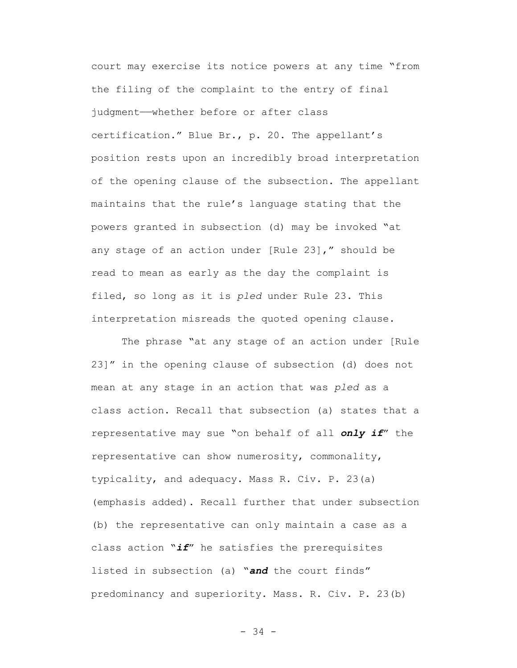court may exercise its notice powers at any time "from the filing of the complaint to the entry of final judgment——whether before or after class certification." Blue Br., p. 20. The appellant's position rests upon an incredibly broad interpretation of the opening clause of the subsection. The appellant maintains that the rule's language stating that the powers granted in subsection (d) may be invoked "at any stage of an action under [Rule 23]," should be read to mean as early as the day the complaint is filed, so long as it is *pled* under Rule 23. This interpretation misreads the quoted opening clause.

The phrase "at any stage of an action under [Rule 23]" in the opening clause of subsection (d) does not mean at any stage in an action that was *pled* as a class action. Recall that subsection (a) states that a representative may sue "on behalf of all *only if*" the representative can show numerosity, commonality, typicality, and adequacy. Mass R. Civ. P. 23(a) (emphasis added). Recall further that under subsection (b) the representative can only maintain a case as a class action "*if*" he satisfies the prerequisites listed in subsection (a) "*and* the court finds" predominancy and superiority. Mass. R. Civ. P. 23(b)

- 34 -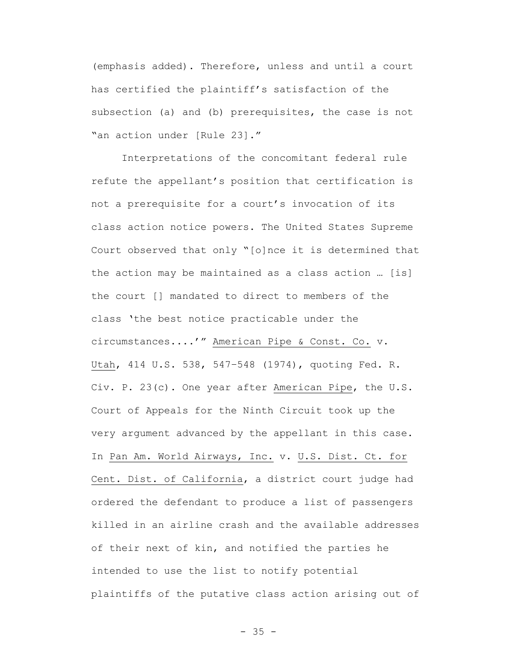(emphasis added). Therefore, unless and until a court has certified the plaintiff's satisfaction of the subsection (a) and (b) prerequisites, the case is not "an action under [Rule 23]."

Interpretations of the concomitant federal rule refute the appellant's position that certification is not a prerequisite for a court's invocation of its class action notice powers. The United States Supreme Court observed that only "[o]nce it is determined that the action may be maintained as a class action … [is] the court [] mandated to direct to members of the class 'the best notice practicable under the circumstances....'" American Pipe & Const. Co. v. Utah, 414 U.S. 538, 547–548 (1974), quoting Fed. R. Civ. P. 23(c). One year after American Pipe, the U.S. Court of Appeals for the Ninth Circuit took up the very argument advanced by the appellant in this case. In Pan Am. World Airways, Inc. v. U.S. Dist. Ct. for Cent. Dist. of California, a district court judge had ordered the defendant to produce a list of passengers killed in an airline crash and the available addresses of their next of kin, and notified the parties he intended to use the list to notify potential plaintiffs of the putative class action arising out of

 $- 35 -$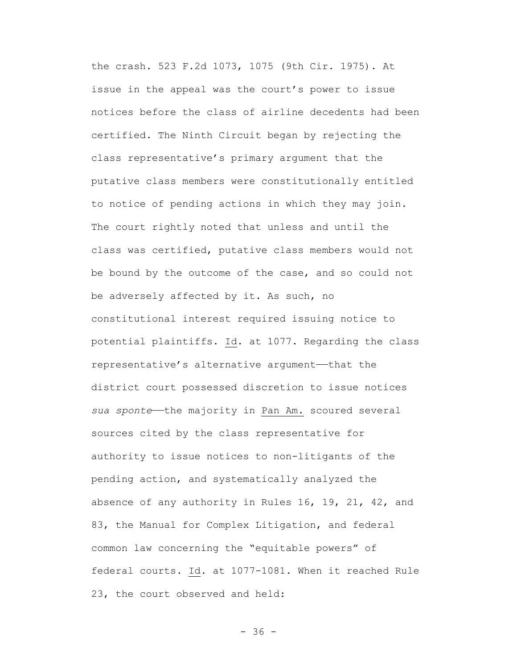the crash. 523 F.2d 1073, 1075 (9th Cir. 1975). At issue in the appeal was the court's power to issue notices before the class of airline decedents had been certified. The Ninth Circuit began by rejecting the class representative's primary argument that the putative class members were constitutionally entitled to notice of pending actions in which they may join. The court rightly noted that unless and until the class was certified, putative class members would not be bound by the outcome of the case, and so could not be adversely affected by it. As such, no constitutional interest required issuing notice to potential plaintiffs. Id. at 1077. Regarding the class representative's alternative argument—that the district court possessed discretion to issue notices sua sponte—the majority in Pan Am. scoured several sources cited by the class representative for authority to issue notices to non-litigants of the pending action, and systematically analyzed the absence of any authority in Rules 16, 19, 21, 42, and 83, the Manual for Complex Litigation, and federal common law concerning the "equitable powers" of federal courts. Id. at 1077-1081. When it reached Rule 23, the court observed and held: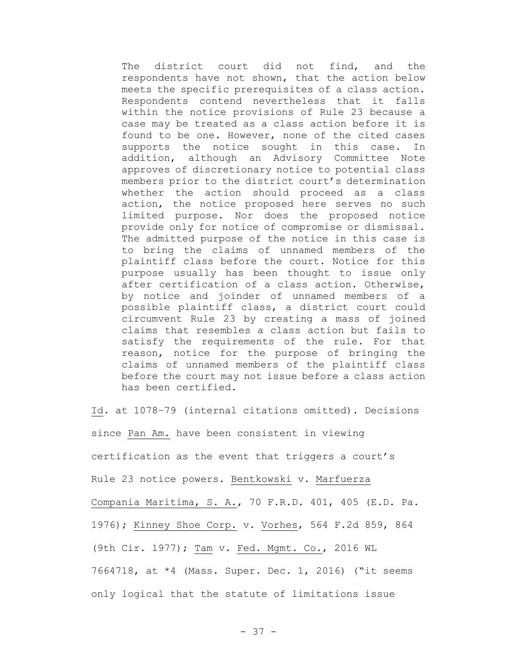The district court did not find, and the respondents have not shown, that the action below meets the specific prerequisites of a class action. Respondents contend nevertheless that it falls within the notice provisions of Rule 23 because a case may be treated as a class action before it is found to be one. However, none of the cited cases supports the notice sought in this case. In addition, although an Advisory Committee Note approves of discretionary notice to potential class members prior to the district court's determination whether the action should proceed as a class action, the notice proposed here serves no such limited purpose. Nor does the proposed notice provide only for notice of compromise or dismissal. The admitted purpose of the notice in this case is to bring the claims of unnamed members of the plaintiff class before the court. Notice for this purpose usually has been thought to issue only after certification of a class action. Otherwise, by notice and joinder of unnamed members of a possible plaintiff class, a district court could circumvent Rule 23 by creating a mass of joined claims that resembles a class action but fails to satisfy the requirements of the rule. For that reason, notice for the purpose of bringing the claims of unnamed members of the plaintiff class before the court may not issue before a class action has been certified.

Id. at 1078–79 (internal citations omitted). Decisions since Pan Am. have been consistent in viewing certification as the event that triggers a court's Rule 23 notice powers. Bentkowski v. Marfuerza Compania Maritima, S. A., 70 F.R.D. 401, 405 (E.D. Pa. 1976); Kinney Shoe Corp. v. Vorhes, 564 F.2d 859, 864 (9th Cir. 1977); Tam v. Fed. Mgmt. Co., 2016 WL 7664718, at \*4 (Mass. Super. Dec. 1, 2016) ("it seems only logical that the statute of limitations issue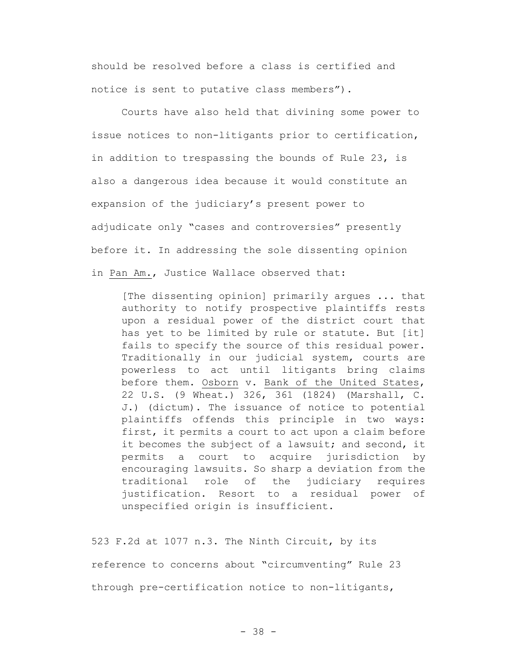should be resolved before a class is certified and notice is sent to putative class members").

Courts have also held that divining some power to issue notices to non-litigants prior to certification, in addition to trespassing the bounds of Rule 23, is also a dangerous idea because it would constitute an expansion of the judiciary's present power to adjudicate only "cases and controversies" presently before it. In addressing the sole dissenting opinion in Pan Am., Justice Wallace observed that:

[The dissenting opinion] primarily argues ... that authority to notify prospective plaintiffs rests upon a residual power of the district court that has yet to be limited by rule or statute. But [it] fails to specify the source of this residual power. Traditionally in our judicial system, courts are powerless to act until litigants bring claims before them. Osborn v. Bank of the United States, 22 U.S. (9 Wheat.) 326, 361 (1824) (Marshall, C. J.) (dictum). The issuance of notice to potential plaintiffs offends this principle in two ways: first, it permits a court to act upon a claim before it becomes the subject of a lawsuit; and second, it permits a court to acquire jurisdiction by encouraging lawsuits. So sharp a deviation from the traditional role of the judiciary requires justification. Resort to a residual power of unspecified origin is insufficient.

523 F.2d at 1077 n.3. The Ninth Circuit, by its reference to concerns about "circumventing" Rule 23 through pre-certification notice to non-litigants,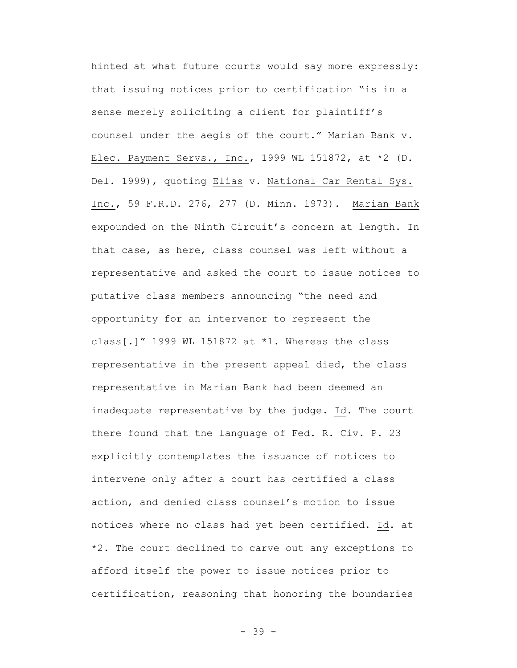hinted at what future courts would say more expressly: that issuing notices prior to certification "is in a sense merely soliciting a client for plaintiff's counsel under the aegis of the court." Marian Bank v. Elec. Payment Servs., Inc., 1999 WL 151872, at \*2 (D. Del. 1999), quoting Elias v. National Car Rental Sys. Inc., 59 F.R.D. 276, 277 (D. Minn. 1973). Marian Bank expounded on the Ninth Circuit's concern at length. In that case, as here, class counsel was left without a representative and asked the court to issue notices to putative class members announcing "the need and opportunity for an intervenor to represent the class[.]" 1999 WL 151872 at  $*1$ . Whereas the class representative in the present appeal died, the class representative in Marian Bank had been deemed an inadequate representative by the judge. Id. The court there found that the language of Fed. R. Civ. P. 23 explicitly contemplates the issuance of notices to intervene only after a court has certified a class action, and denied class counsel's motion to issue notices where no class had yet been certified. Id. at \*2. The court declined to carve out any exceptions to afford itself the power to issue notices prior to certification, reasoning that honoring the boundaries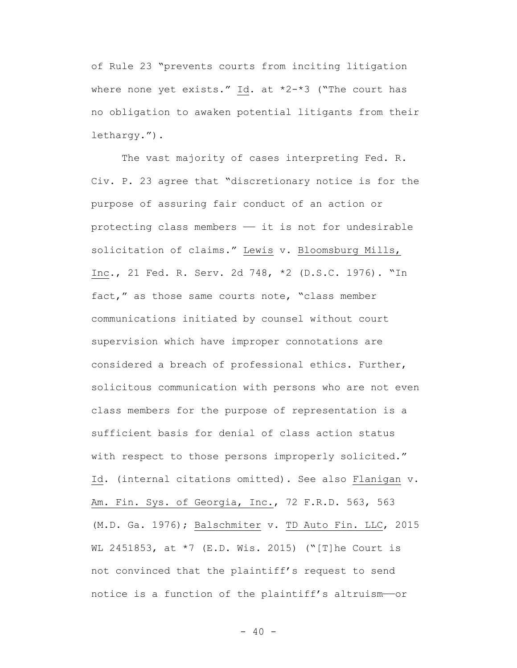of Rule 23 "prevents courts from inciting litigation where none yet exists." Id. at \*2-\*3 ("The court has no obligation to awaken potential litigants from their lethargy.").

The vast majority of cases interpreting Fed. R. Civ. P. 23 agree that "discretionary notice is for the purpose of assuring fair conduct of an action or protecting class members  $-$  it is not for undesirable solicitation of claims." Lewis v. Bloomsburg Mills, Inc., 21 Fed. R. Serv. 2d 748, \*2 (D.S.C. 1976). "In fact," as those same courts note, "class member communications initiated by counsel without court supervision which have improper connotations are considered a breach of professional ethics. Further, solicitous communication with persons who are not even class members for the purpose of representation is a sufficient basis for denial of class action status with respect to those persons improperly solicited." Id. (internal citations omitted). See also Flanigan v. Am. Fin. Sys. of Georgia, Inc., 72 F.R.D. 563, 563 (M.D. Ga. 1976); Balschmiter v. TD Auto Fin. LLC, 2015 WL 2451853, at \*7 (E.D. Wis. 2015) ("[T]he Court is not convinced that the plaintiff's request to send notice is a function of the plaintiff's altruism-or

 $- 40 -$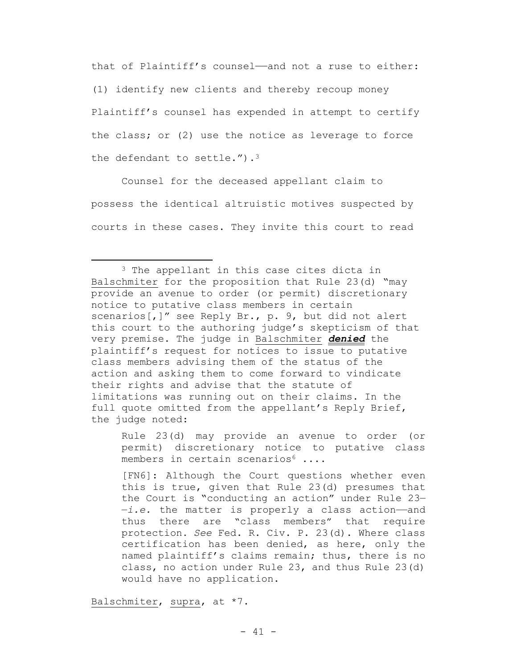that of Plaintiff's counsel——and not a ruse to either: (1) identify new clients and thereby recoup money Plaintiff's counsel has expended in attempt to certify the class; or (2) use the notice as leverage to force the defendant to settle.").<sup>3</sup>

Counsel for the deceased appellant claim to possess the identical altruistic motives suspected by courts in these cases. They invite this court to read

Rule 23(d) may provide an avenue to order (or permit) discretionary notice to putative class members in certain scenarios $6 \ldots$ 

[FN6]: Although the Court questions whether even this is true, given that Rule 23(d) presumes that the Court is "conducting an action" under Rule 23— —*i.e.* the matter is properly a class action——and thus there are "class members" that require protection. *See* Fed. R. Civ. P. 23(d). Where class certification has been denied, as here, only the named plaintiff's claims remain; thus, there is no class, no action under Rule 23, and thus Rule 23(d) would have no application.

Balschmiter, supra, at \*7.

 $\overline{\phantom{a}}$ 

<sup>&</sup>lt;sup>3</sup> The appellant in this case cites dicta in Balschmiter for the proposition that Rule 23(d) "may provide an avenue to order (or permit) discretionary notice to putative class members in certain scenarios[,]" see Reply Br., p. 9, but did not alert this court to the authoring judge's skepticism of that very premise. The judge in Balschmiter *denied* the plaintiff's request for notices to issue to putative class members advising them of the status of the action and asking them to come forward to vindicate their rights and advise that the statute of limitations was running out on their claims. In the full quote omitted from the appellant's Reply Brief, the judge noted: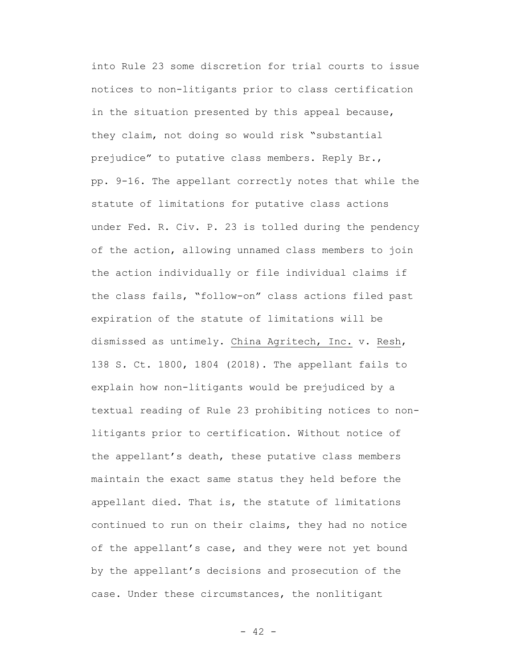into Rule 23 some discretion for trial courts to issue notices to non-litigants prior to class certification in the situation presented by this appeal because, they claim, not doing so would risk "substantial prejudice" to putative class members. Reply Br., pp. 9-16. The appellant correctly notes that while the statute of limitations for putative class actions under Fed. R. Civ. P. 23 is tolled during the pendency of the action, allowing unnamed class members to join the action individually or file individual claims if the class fails, "follow-on" class actions filed past expiration of the statute of limitations will be dismissed as untimely. China Agritech, Inc. v. Resh, 138 S. Ct. 1800, 1804 (2018). The appellant fails to explain how non-litigants would be prejudiced by a textual reading of Rule 23 prohibiting notices to nonlitigants prior to certification. Without notice of the appellant's death, these putative class members maintain the exact same status they held before the appellant died. That is, the statute of limitations continued to run on their claims, they had no notice of the appellant's case, and they were not yet bound by the appellant's decisions and prosecution of the case. Under these circumstances, the nonlitigant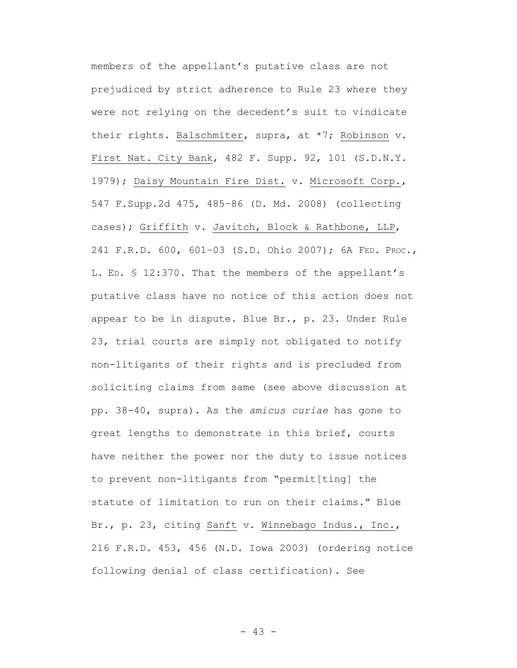members of the appellant's putative class are not prejudiced by strict adherence to Rule 23 where they were not relying on the decedent's suit to vindicate their rights. Balschmiter, supra, at \*7; Robinson v. First Nat. City Bank, 482 F. Supp. 92, 101 (S.D.N.Y. 1979); Daisy Mountain Fire Dist. v. Microsoft Corp., 547 F.Supp.2d 475, 485–86 (D. Md. 2008) (collecting cases); Griffith v. Javitch, Block & Rathbone, LLP, 241 F.R.D. 600, 601–03 (S.D. Ohio 2007); 6A FED. PROC., L. ED. § 12:370. That the members of the appellant's putative class have no notice of this action does not appear to be in dispute. Blue Br., p. 23. Under Rule 23, trial courts are simply not obligated to notify non-litigants of their rights and is precluded from soliciting claims from same (see above discussion at pp. 38-40, supra). As the *amicus curiae* has gone to great lengths to demonstrate in this brief, courts have neither the power nor the duty to issue notices to prevent non-litigants from "permit[ting] the statute of limitation to run on their claims." Blue Br., p. 23, citing Sanft v. Winnebago Indus., Inc., 216 F.R.D. 453, 456 (N.D. Iowa 2003) (ordering notice following denial of class certification). See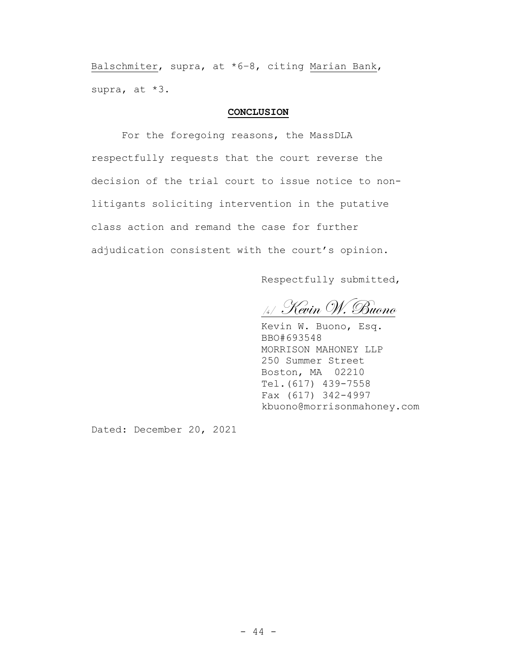Balschmiter, supra, at \*6–8, citing Marian Bank, supra, at \*3.

### **CONCLUSION**

For the foregoing reasons, the MassDLA respectfully requests that the court reverse the decision of the trial court to issue notice to nonlitigants soliciting intervention in the putative class action and remand the case for further adjudication consistent with the court's opinion.

Respectfully submitted,

/s/ Kevin W. Buono

Kevin W. Buono, Esq. BBO#693548 MORRISON MAHONEY LLP 250 Summer Street Boston, MA 02210 Tel.(617) 439-7558 Fax (617) 342-4997 kbuono@morrisonmahoney.com

Dated: December 20, 2021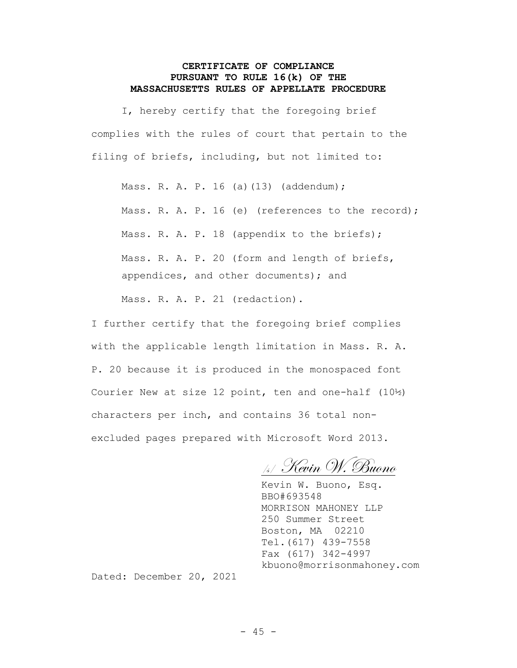# **CERTIFICATE OF COMPLIANCE PURSUANT TO RULE 16(k) OF THE MASSACHUSETTS RULES OF APPELLATE PROCEDURE**

I, hereby certify that the foregoing brief complies with the rules of court that pertain to the filing of briefs, including, but not limited to:

Mass. R. A. P. 16 (a)(13) (addendum); Mass. R. A. P. 16 (e) (references to the record); Mass. R. A. P. 18 (appendix to the briefs); Mass. R. A. P. 20 (form and length of briefs, appendices, and other documents); and Mass. R. A. P. 21 (redaction).

I further certify that the foregoing brief complies with the applicable length limitation in Mass. R. A. P. 20 because it is produced in the monospaced font Courier New at size 12 point, ten and one-half (10½) characters per inch, and contains 36 total nonexcluded pages prepared with Microsoft Word 2013.

/s/ Kevin W. Buono

Kevin W. Buono, Esq. BBO#693548 MORRISON MAHONEY LLP 250 Summer Street Boston, MA 02210 Tel.(617) 439-7558 Fax (617) 342-4997 kbuono@morrisonmahoney.com

Dated: December 20, 2021